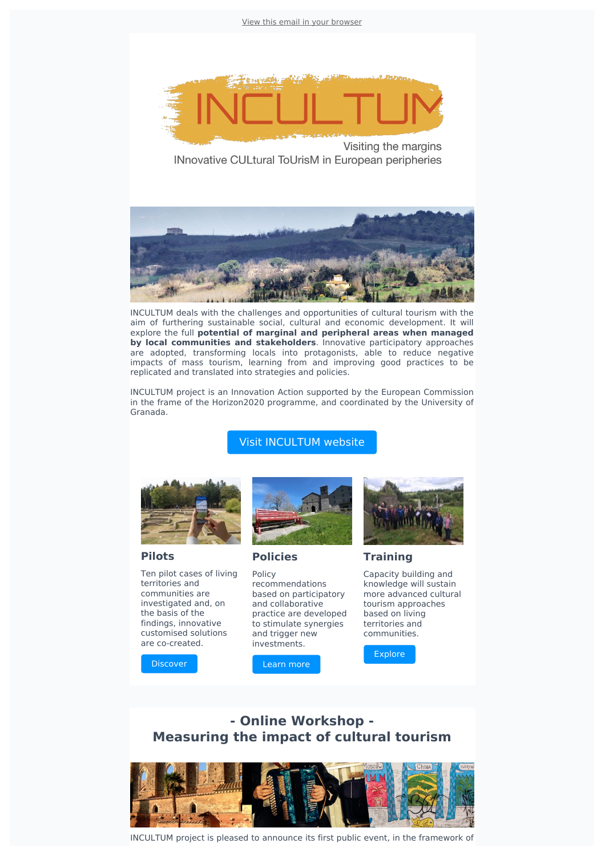View this email in your [browser](file:///var/www/html/public/[MIRROR])



Visiting the margins INnovative CULtural ToUrisM in European peripheries



INCULTUM deals with the challenges and opportunities of cultural tourism with the aim of furthering sustainable social, cultural and economic development. It will explore the full **potential of marginal and peripheral areas when managed by local communities and stakeholders**. Innovative participatory approaches are adopted, transforming locals into protagonists, able to reduce negative impacts of mass tourism, learning from and improving good practices to be replicated and translated into strategies and policies.

INCULTUM project is an Innovation Action supported by the European Commission in the frame of the Horizon2020 programme, and coordinated by the University of Granada.

## Visit [INCULTUM](https://incultum.eu/) website



### **Pilots**

Ten pilot cases of living territories and communities are investigated and, on the basis of the findings, innovative customised solutions are co-created.

[Discover](https://incultum.eu/pilots/)



**Policies**

Policy recommendations based on participatory and collaborative practice are developed to stimulate synergies and trigger new investments.





**Training**

Capacity building and knowledge will sustain more advanced cultural tourism approaches based on living territories and communities.

**[Explore](https://incultum.eu/training-portal/)** 

# **- Online Workshop - Measuring the impact of cultural tourism**



INCULTUM project is pleased to announce its first public event, in the framework of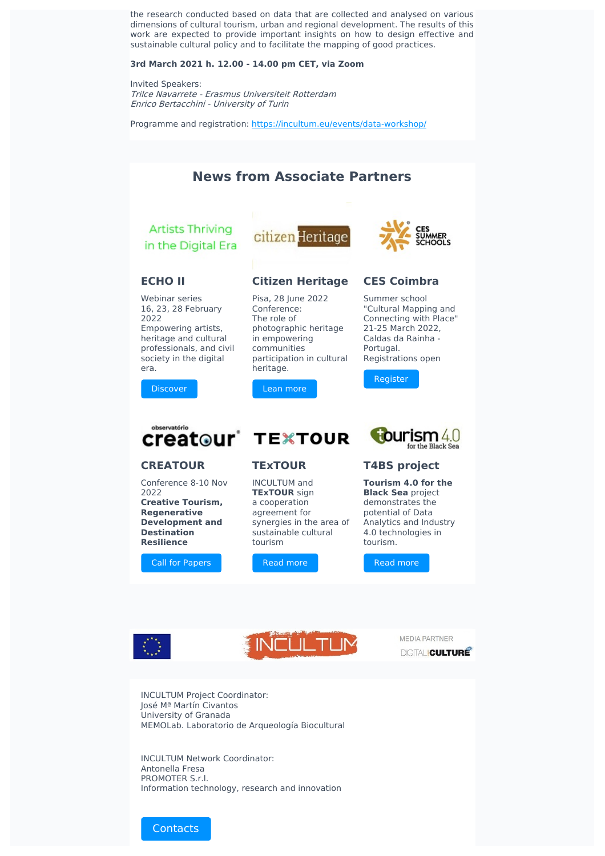the research conducted based on data that are collected and analysed on various dimensions of cultural tourism, urban and regional development. The results of this work are expected to provide important insights on how to design effective and sustainable cultural policy and to facilitate the mapping of good practices.

#### **3rd March 2021 h. 12.00 - 14.00 pm CET, via Zoom**

Invited Speakers: Trilce Navarrete - Erasmus Universiteit Rotterdam Enrico Bertacchini - University of Turin

Programme and registration: <https://incultum.eu/events/data-workshop/>



**Creative Tourism, Regenerative Development and Destination Resilience**

Call for [Papers](https://www.ces.uc.pt/ficheiros2/files/cfp_creatour-azores_nov2022.pdf)

**TExTOUR** sign a cooperation agreement for synergies in the area of sustainable cultural tourism

Read [more](https://www.digitalmeetsculture.net/article/incultum-and-textour-join-forces/)

**Black Sea** project demonstrates the potential of Data Analytics and Industry 4.0 technologies in tourism.

Read [more](https://www.digitalmeetsculture.net/article/incultum-and-t4bs-join-forces/)







INCULTUM Project Coordinator: José Mª Martín Civantos University of Granada MEMOLab. Laboratorio de Arqueología Biocultural

INCULTUM Network Coordinator: Antonella Fresa PROMOTER S.r.l. Information technology, research and innovation